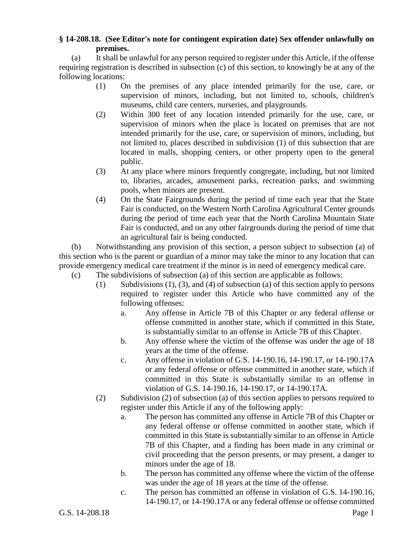## **§ 14-208.18. (See Editor's note for contingent expiration date) Sex offender unlawfully on premises.**

(a) It shall be unlawful for any person required to register under this Article, if the offense requiring registration is described in subsection (c) of this section, to knowingly be at any of the following locations:

- (1) On the premises of any place intended primarily for the use, care, or supervision of minors, including, but not limited to, schools, children's museums, child care centers, nurseries, and playgrounds.
- (2) Within 300 feet of any location intended primarily for the use, care, or supervision of minors when the place is located on premises that are not intended primarily for the use, care, or supervision of minors, including, but not limited to, places described in subdivision (1) of this subsection that are located in malls, shopping centers, or other property open to the general public.
- (3) At any place where minors frequently congregate, including, but not limited to, libraries, arcades, amusement parks, recreation parks, and swimming pools, when minors are present.
- (4) On the State Fairgrounds during the period of time each year that the State Fair is conducted, on the Western North Carolina Agricultural Center grounds during the period of time each year that the North Carolina Mountain State Fair is conducted, and on any other fairgrounds during the period of time that an agricultural fair is being conducted.

(b) Notwithstanding any provision of this section, a person subject to subsection (a) of this section who is the parent or guardian of a minor may take the minor to any location that can provide emergency medical care treatment if the minor is in need of emergency medical care.

- (c) The subdivisions of subsection (a) of this section are applicable as follows:
	- (1) Subdivisions (1), (3), and (4) of subsection (a) of this section apply to persons required to register under this Article who have committed any of the following offenses:
		- a. Any offense in Article 7B of this Chapter or any federal offense or offense committed in another state, which if committed in this State, is substantially similar to an offense in Article 7B of this Chapter.
		- b. Any offense where the victim of the offense was under the age of 18 years at the time of the offense.
		- c. Any offense in violation of G.S. 14-190.16, 14-190.17, or 14-190.17A or any federal offense or offense committed in another state, which if committed in this State is substantially similar to an offense in violation of G.S. 14-190.16, 14-190.17, or 14-190.17A.
	- (2) Subdivision (2) of subsection (a) of this section applies to persons required to register under this Article if any of the following apply:
		- a. The person has committed any offense in Article 7B of this Chapter or any federal offense or offense committed in another state, which if committed in this State is substantially similar to an offense in Article 7B of this Chapter, and a finding has been made in any criminal or civil proceeding that the person presents, or may present, a danger to minors under the age of 18.
		- b. The person has committed any offense where the victim of the offense was under the age of 18 years at the time of the offense.
		- c. The person has committed an offense in violation of G.S. 14-190.16, 14-190.17, or 14-190.17A or any federal offense or offense committed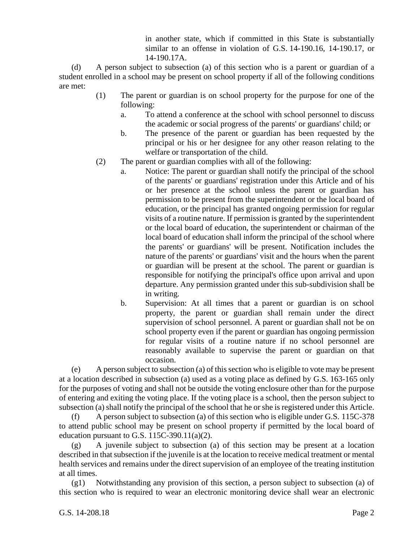in another state, which if committed in this State is substantially similar to an offense in violation of G.S. 14-190.16, 14-190.17, or 14-190.17A.

(d) A person subject to subsection (a) of this section who is a parent or guardian of a student enrolled in a school may be present on school property if all of the following conditions are met:

- (1) The parent or guardian is on school property for the purpose for one of the following:
	- a. To attend a conference at the school with school personnel to discuss the academic or social progress of the parents' or guardians' child; or
	- b. The presence of the parent or guardian has been requested by the principal or his or her designee for any other reason relating to the welfare or transportation of the child.
- (2) The parent or guardian complies with all of the following:
	- a. Notice: The parent or guardian shall notify the principal of the school of the parents' or guardians' registration under this Article and of his or her presence at the school unless the parent or guardian has permission to be present from the superintendent or the local board of education, or the principal has granted ongoing permission for regular visits of a routine nature. If permission is granted by the superintendent or the local board of education, the superintendent or chairman of the local board of education shall inform the principal of the school where the parents' or guardians' will be present. Notification includes the nature of the parents' or guardians' visit and the hours when the parent or guardian will be present at the school. The parent or guardian is responsible for notifying the principal's office upon arrival and upon departure. Any permission granted under this sub-subdivision shall be in writing.
	- b. Supervision: At all times that a parent or guardian is on school property, the parent or guardian shall remain under the direct supervision of school personnel. A parent or guardian shall not be on school property even if the parent or guardian has ongoing permission for regular visits of a routine nature if no school personnel are reasonably available to supervise the parent or guardian on that occasion.

(e) A person subject to subsection (a) of this section who is eligible to vote may be present at a location described in subsection (a) used as a voting place as defined by G.S. 163-165 only for the purposes of voting and shall not be outside the voting enclosure other than for the purpose of entering and exiting the voting place. If the voting place is a school, then the person subject to subsection (a) shall notify the principal of the school that he or she is registered under this Article.

(f) A person subject to subsection (a) of this section who is eligible under G.S. 115C-378 to attend public school may be present on school property if permitted by the local board of education pursuant to G.S.  $115C-390.11(a)(2)$ .

(g) A juvenile subject to subsection (a) of this section may be present at a location described in that subsection if the juvenile is at the location to receive medical treatment or mental health services and remains under the direct supervision of an employee of the treating institution at all times.

(g1) Notwithstanding any provision of this section, a person subject to subsection (a) of this section who is required to wear an electronic monitoring device shall wear an electronic